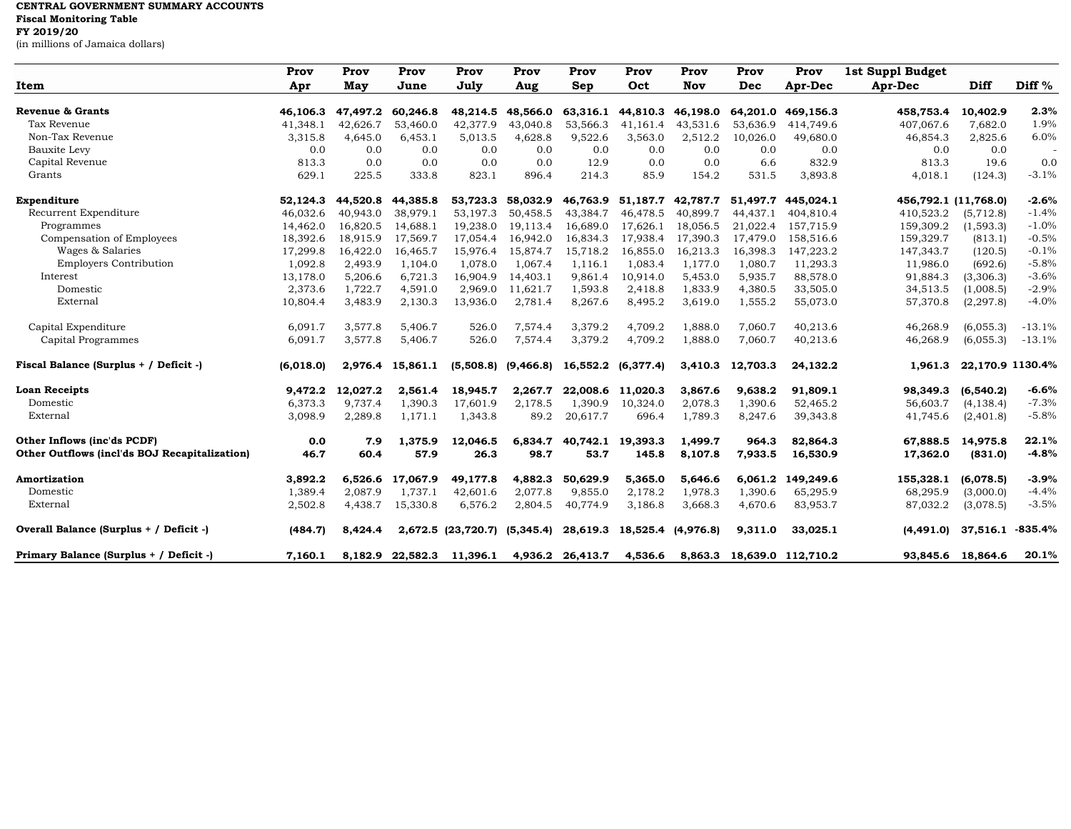## **CENTRAL GOVERNMENT SUMMARY ACCOUNTS Fiscal Monitoring Table FY 2019/20** (in millions of Jamaica dollars)

|                                               | Prov      | Prov     | Prov     | Prov                         | Prov                    | Prov             | Prov                        | Prov              | Prov      | Prov                       | 1st Suppl Budget |                      |                   |
|-----------------------------------------------|-----------|----------|----------|------------------------------|-------------------------|------------------|-----------------------------|-------------------|-----------|----------------------------|------------------|----------------------|-------------------|
| Item                                          | Apr       | May      | June     | July                         | Aug                     | Sep              | Oct                         | Nov               | Dec       | Apr-Dec                    | Apr-Dec          | Diff                 | Diff <sup>%</sup> |
| Revenue & Grants                              | 46.106.3  | 47,497.2 | 60.246.8 | 48,214.5                     | 48,566.0                | 63,316.1         |                             | 44,810.3 46,198.0 |           | 64,201.0 469,156.3         | 458,753.4        | 10,402.9             | 2.3%              |
| Tax Revenue                                   | 41,348.1  | 42,626.7 | 53,460.0 | 42,377.9                     | 43,040.8                | 53,566.3         | 41,161.4                    | 43,531.6          | 53,636.9  | 414,749.6                  | 407,067.6        | 7,682.0              | 1.9%              |
| Non-Tax Revenue                               | 3,315.8   | 4,645.0  | 6,453.1  | 5,013.5                      | 4,628.8                 | 9,522.6          | 3,563.0                     | 2,512.2           | 10,026.0  | 49,680.0                   | 46,854.3         | 2,825.6              | 6.0%              |
| Bauxite Levy                                  | 0.0       | 0.0      | 0.0      | 0.0                          | 0.0                     | 0.0              | 0.0                         | 0.0               | 0.0       | 0.0                        | 0.0              | 0.0                  |                   |
| Capital Revenue                               | 813.3     | 0.0      | 0.0      | 0.0                          | 0.0                     | 12.9             | 0.0                         | 0.0               | 6.6       | 832.9                      | 813.3            | 19.6                 | 0.0               |
| Grants                                        | 629.1     | 225.5    | 333.8    | 823.1                        | 896.4                   | 214.3            | 85.9                        | 154.2             | 531.5     | 3,893.8                    | 4,018.1          | (124.3)              | $-3.1%$           |
| Expenditure                                   | 52,124.3  | 44.520.8 | 44,385.8 | 53,723.3                     | 58,032.9                | 46,763.9         | 51,187.7                    | 42.787.7          | 51.497.7  | 445.024.1                  |                  | 456,792.1 (11,768.0) | $-2.6%$           |
| Recurrent Expenditure                         | 46,032.6  | 40,943.0 | 38,979.1 | 53,197.3                     | 50,458.5                | 43,384.7         | 46,478.5                    | 40.899.7          | 44, 437.1 | 404,810.4                  | 410,523.2        | (5,712.8)            | $-1.4%$           |
| Programmes                                    | 14,462.0  | 16,820.5 | 14,688.1 | 19,238.0                     | 19,113.4                | 16,689.0         | 17,626.1                    | 18,056.5          | 21,022.4  | 157,715.9                  | 159,309.2        | (1, 593.3)           | $-1.0%$           |
| Compensation of Employees                     | 18,392.6  | 18,915.9 | 17,569.7 | 17,054.4                     | 16,942.0                | 16,834.3         | 17,938.4                    | 17,390.3          | 17,479.0  | 158,516.6                  | 159,329.7        | (813.1)              | $-0.5%$           |
| Wages & Salaries                              | 17,299.8  | 16,422.0 | 16,465.7 | 15,976.4                     | 15,874.7                | 15,718.2         | 16,855.0                    | 16,213.3          | 16,398.3  | 147,223.2                  | 147,343.7        | (120.5)              | $-0.1%$           |
| <b>Employers Contribution</b>                 | 1,092.8   | 2,493.9  | 1,104.0  | 1,078.0                      | 1,067.4                 | 1,116.1          | 1,083.4                     | 1,177.0           | 1,080.7   | 11,293.3                   | 11,986.0         | (692.6)              | $-5.8%$           |
| Interest                                      | 13,178.0  | 5,206.6  | 6,721.3  | 16,904.9                     | 14,403.1                | 9,861.4          | 10,914.0                    | 5,453.0           | 5,935.7   | 88,578.0                   | 91,884.3         | (3,306.3)            | $-3.6%$           |
| Domestic                                      | 2,373.6   | 1,722.7  | 4,591.0  | 2,969.0                      | 11,621.7                | 1,593.8          | 2,418.8                     | 1,833.9           | 4,380.5   | 33,505.0                   | 34,513.5         | (1,008.5)            | $-2.9%$           |
| External                                      | 10,804.4  | 3,483.9  | 2,130.3  | 13,936.0                     | 2,781.4                 | 8,267.6          | 8,495.2                     | 3,619.0           | 1,555.2   | 55,073.0                   | 57,370.8         | (2, 297.8)           | $-4.0%$           |
| Capital Expenditure                           | 6.091.7   | 3,577.8  | 5,406.7  | 526.0                        | 7,574.4                 | 3,379.2          | 4,709.2                     | 1,888.0           | 7,060.7   | 40,213.6                   | 46,268.9         | (6,055,3)            | $-13.1%$          |
| Capital Programmes                            | 6,091.7   | 3,577.8  | 5,406.7  | 526.0                        | 7,574.4                 | 3,379.2          | 4,709.2                     | 1,888.0           | 7,060.7   | 40,213.6                   | 46,268.9         | (6,055.3)            | $-13.1%$          |
| Fiscal Balance (Surplus + / Deficit -)        | (6,018.0) | 2,976.4  | 15,861.1 |                              | $(5,508.8)$ $(9,466.8)$ | 16,552.2         | (6,377.4)                   | 3,410.3           | 12,703.3  | 24,132.2                   | 1,961.3          | 22,170.9 1130.4%     |                   |
| <b>Loan Receipts</b>                          | 9,472.2   | 12,027.2 | 2,561.4  | 18,945.7                     | 2,267.7                 | 22,008.6         | 11,020.3                    | 3,867.6           | 9,638.2   | 91,809.1                   | 98,349.3         | (6,540.2)            | $-6.6%$           |
| Domestic                                      | 6,373.3   | 9,737.4  | 1,390.3  | 17,601.9                     | 2,178.5                 | 1,390.9          | 10,324.0                    | 2,078.3           | 1,390.6   | 52,465.2                   | 56,603.7         | (4, 138.4)           | $-7.3%$           |
| External                                      | 3,098.9   | 2,289.8  | 1,171.1  | 1,343.8                      | 89.2                    | 20,617.7         | 696.4                       | 1,789.3           | 8,247.6   | 39,343.8                   | 41,745.6         | (2,401.8)            | $-5.8%$           |
| Other Inflows (inc'ds PCDF)                   | 0.0       | 7.9      | 1,375.9  | 12,046.5                     | 6,834.7                 |                  | 40,742.1 19,393.3           | 1,499.7           | 964.3     | 82,864.3                   | 67,888.5         | 14,975.8             | 22.1%             |
| Other Outflows (incl'ds BOJ Recapitalization) | 46.7      | 60.4     | 57.9     | 26.3                         | 98.7                    | 53.7             | 145.8                       | 8,107.8           | 7,933.5   | 16,530.9                   | 17,362.0         | (831.0)              | $-4.8%$           |
| Amortization                                  | 3,892.2   | 6,526.6  | 17,067.9 | 49,177.8                     | 4,882.3                 | 50,629.9         | 5,365.0                     | 5,646.6           | 6,061.2   | 149,249.6                  | 155,328.1        | (6,078.5)            | $-3.9%$           |
| Domestic                                      | 1,389.4   | 2,087.9  | 1,737.1  | 42,601.6                     | 2,077.8                 | 9,855.0          | 2,178.2                     | 1,978.3           | 1,390.6   | 65,295.9                   | 68,295.9         | (3,000.0)            | $-4.4%$           |
| External                                      | 2,502.8   | 4,438.7  | 15,330.8 | 6,576.2                      | 2,804.5                 | 40,774.9         | 3,186.8                     | 3,668.3           | 4,670.6   | 83,953.7                   | 87,032.2         | (3,078.5)            | $-3.5%$           |
| Overall Balance (Surplus + / Deficit -)       | (484.7)   | 8.424.4  |          | 2,672.5 (23,720.7) (5,345.4) |                         |                  | 28,619.3 18,525.4 (4,976.8) |                   | 9,311.0   | 33,025.1                   | (4, 491.0)       | 37,516.1             | $-835.4\%$        |
| Primary Balance (Surplus + / Deficit -)       | 7,160.1   |          |          | 8,182.9 22,582.3 11,396.1    |                         | 4,936.2 26,413.7 | 4,536.6                     |                   |           | 8,863.3 18,639.0 112,710.2 |                  | 93,845.6 18,864.6    | 20.1%             |